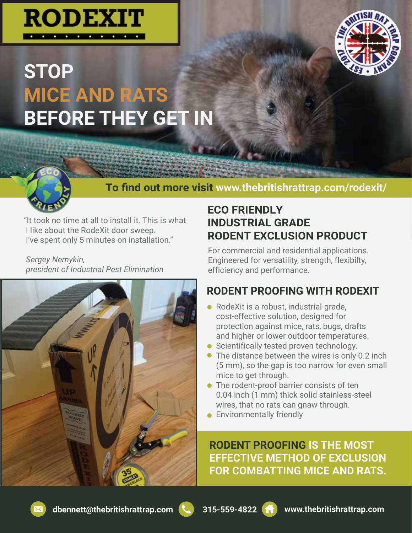





### **To find out more visit www.thebritishrattrap.com/rodexit/**

"It took no time at all to install it. This is what I like about the RodeXit door sweep. I've spent only 5 minutes on installation."

*Sergey Nemykin, president of Industrial Pest Elimination*



### **ECO FRIENDLY INDUSTRIAL GRADE RODENT EXCLUSION PRODUCT**

For commercial and residential applications. Engineered for versatility, strength, flexibilty, efficiency and performance.

## **RODENT PROOFING WITH RODEXIT**

- RodeXit is a robust, industrial-grade, cost-effective solution, designed for protection against mice, rats, bugs, drafts and higher or lower outdoor temperatures.
- Scientifically tested proven technology.
- The distance between the wires is only 0.2 inch (5 mm), so the gap is too narrow for even small mice to get through.
- **The rodent-proof barrier consists of ten** 0.04 inch (1 mm) thick solid stainless-steel wires, that no rats can gnaw through.
- **•** Environmentally friendly

**RODENT PROOFING IS THE MOST EFFECTIVE METHOD OF EXCLUSION FOR COMBATTING MICE AND RATS.** 



.